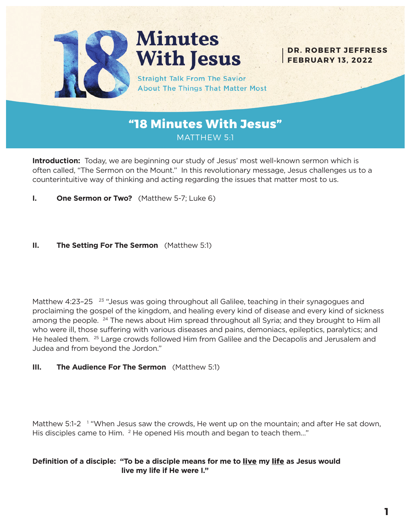

# **Minutes With Jesus**

**Straight Talk From The Savior About The Things That Matter Most** 

**DR. ROBERT JEFFRESS FEBRUARY 13, 2022**

**"18 Minutes With Jesus"** MATTHEW 5:1

**Introduction:** Today, we are beginning our study of Jesus' most well-known sermon which is often called, "The Sermon on the Mount." In this revolutionary message, Jesus challenges us to a counterintuitive way of thinking and acting regarding the issues that matter most to us.

**I. One Sermon or Two?** (Matthew 5-7; Luke 6)

#### **II. The Setting For The Sermon** (Matthew 5:1)

Matthew 4:23-25 <sup>23</sup> "Jesus was going throughout all Galilee, teaching in their synagogues and proclaiming the gospel of the kingdom, and healing every kind of disease and every kind of sickness among the people. <sup>24</sup> The news about Him spread throughout all Syria; and they brought to Him all who were ill, those suffering with various diseases and pains, demoniacs, epileptics, paralytics; and He healed them. 25 Large crowds followed Him from Galilee and the Decapolis and Jerusalem and Judea and from beyond the Jordon."

#### **III. The Audience For The Sermon** (Matthew 5:1)

Matthew 5:1-2<sup>1</sup> "When Jesus saw the crowds, He went up on the mountain; and after He sat down, His disciples came to Him.  $^2$  He opened His mouth and began to teach them..."

#### **Definition of a disciple: "To be a disciple means for me to** live **my** life **as Jesus would live my life if He were I."**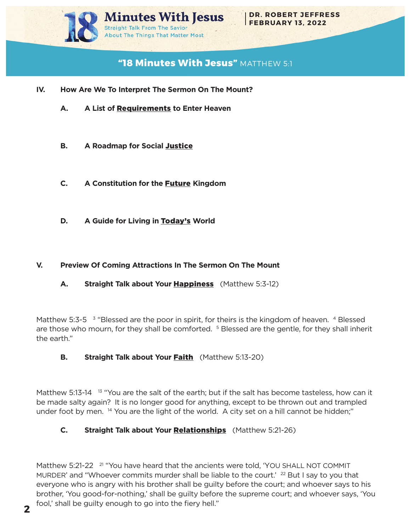

# **"18 Minutes With Jesus"** MATTHEW 5:1

- **IV. How Are We To Interpret The Sermon On The Mount?**
	- **A. A List of** Requirements **to Enter Heaven**
	- **B.** A Roadmap for Social Justice
	- **C. A Constitution for the** Future **Kingdom**
	- **D. A Guide for Living in** Today's **World**

#### **V. Preview Of Coming Attractions In The Sermon On The Mount**

A. Straight Talk about Your **Happiness** (Matthew 5:3-12)

Matthew 5:3-5  $\frac{3}{2}$  "Blessed are the poor in spirit, for theirs is the kingdom of heaven. 4 Blessed are those who mourn, for they shall be comforted. <sup>5</sup> Blessed are the gentle, for they shall inherit the earth."

### **B.** Straight Talk about Your Faith (Matthew 5:13-20)

Matthew 5:13-14  $13$  "You are the salt of the earth; but if the salt has become tasteless, how can it be made salty again? It is no longer good for anything, except to be thrown out and trampled under foot by men. <sup>14</sup> You are the light of the world. A city set on a hill cannot be hidden;"

### **C.** Straight Talk about Your **Relationships** (Matthew 5:21-26)

Matthew 5:21-22 <sup>21</sup> "You have heard that the ancients were told, 'YOU SHALL NOT COMMIT MURDER' and "Whoever commits murder shall be liable to the court.'  $^{22}$  But I say to you that everyone who is angry with his brother shall be guilty before the court; and whoever says to his brother, 'You good-for-nothing,' shall be guilty before the supreme court; and whoever says, 'You fool,' shall be guilty enough to go into the fiery hell."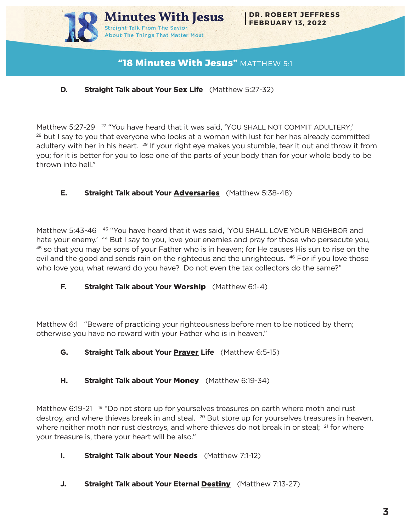

# **"18 Minutes With Jesus"** MATTHEW 5:1

## **D.** Straight Talk about Your Sex Life (Matthew 5:27-32)

Matthew 5:27-29 <sup>27</sup> "You have heard that it was said, 'YOU SHALL NOT COMMIT ADULTERY;'  $28$  but I say to you that everyone who looks at a woman with lust for her has already committed adultery with her in his heart. <sup>29</sup> If your right eye makes you stumble, tear it out and throw it from you; for it is better for you to lose one of the parts of your body than for your whole body to be thrown into hell."

### **E.** Straight Talk about Your **Adversaries** (Matthew 5:38-48)

Matthew 5:43-46 <sup>43</sup> "You have heard that it was said, 'YOU SHALL LOVE YOUR NEIGHBOR and hate your enemy.<sup>' 44</sup> But I say to you, love your enemies and pray for those who persecute you, 45 so that you may be sons of your Father who is in heaven; for He causes His sun to rise on the evil and the good and sends rain on the righteous and the unrighteous. <sup>46</sup> For if you love those who love you, what reward do you have? Do not even the tax collectors do the same?"

### **F.** Straight Talk about Your Worship (Matthew 6:1-4)

Matthew 6:1 "Beware of practicing your righteousness before men to be noticed by them; otherwise you have no reward with your Father who is in heaven."

# **G.** Straight Talk about Your **Prayer** Life (Matthew 6:5-15)

# **H.** Straight Talk about Your Money (Matthew 6:19-34)

Matthew 6:19-21 <sup>19</sup> "Do not store up for yourselves treasures on earth where moth and rust destroy, and where thieves break in and steal.  $^{20}$  But store up for yourselves treasures in heaven, where neither moth nor rust destroys, and where thieves do not break in or steal; <sup>21</sup> for where your treasure is, there your heart will be also."

# **I.** Straight Talk about Your **Needs** (Matthew 7:1-12)

**J.** Straight Talk about Your Eternal Destiny (Matthew 7:13-27)